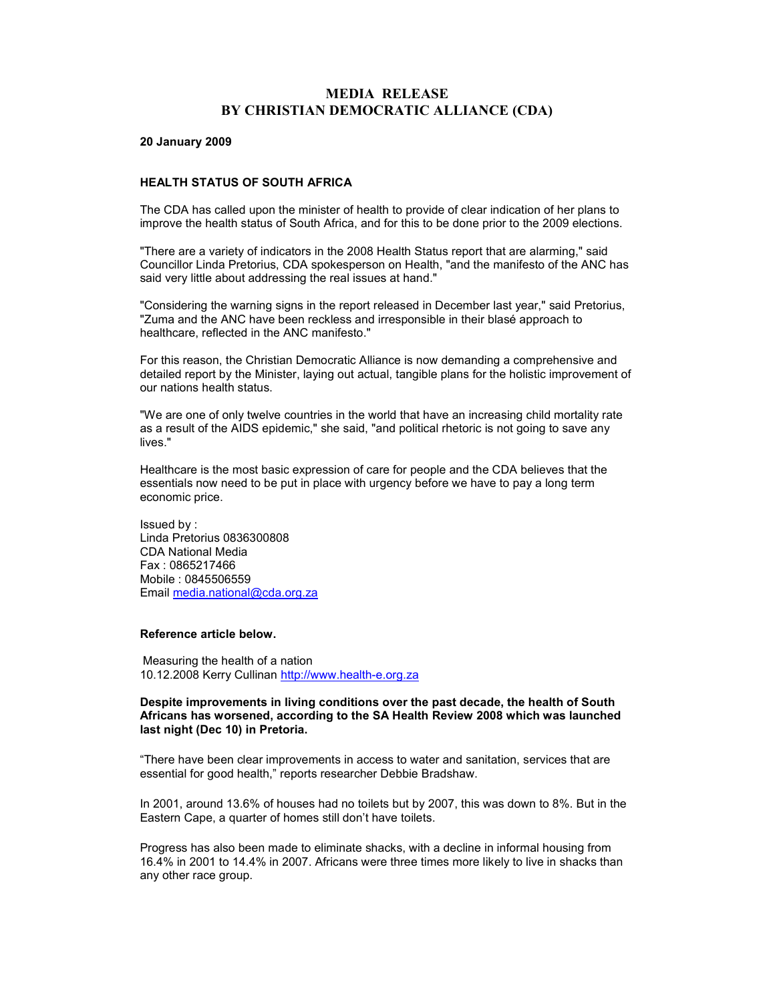# MEDIA RELEASE BY CHRISTIAN DEMOCRATIC ALLIANCE (CDA)

#### 20 January 2009

#### HEALTH STATUS OF SOUTH AFRICA

The CDA has called upon the minister of health to provide of clear indication of her plans to improve the health status of South Africa, and for this to be done prior to the 2009 elections.

"There are a variety of indicators in the 2008 Health Status report that are alarming," said Councillor Linda Pretorius, CDA spokesperson on Health, "and the manifesto of the ANC has said very little about addressing the real issues at hand."

"Considering the warning signs in the report released in December last year," said Pretorius, "Zuma and the ANC have been reckless and irresponsible in their blasé approach to healthcare, reflected in the ANC manifesto."

For this reason, the Christian Democratic Alliance is now demanding a comprehensive and detailed report by the Minister, laying out actual, tangible plans for the holistic improvement of our nations health status.

"We are one of only twelve countries in the world that have an increasing child mortality rate as a result of the AIDS epidemic," she said, "and political rhetoric is not going to save any lives."

Healthcare is the most basic expression of care for people and the CDA believes that the essentials now need to be put in place with urgency before we have to pay a long term economic price.

Issued by : Linda Pretorius 0836300808 CDA National Media Fax : 0865217466 Mobile : 0845506559 Email media.national@cda.org.za

### Reference article below.

Measuring the health of a nation 10.12.2008 Kerry Cullinan http://www.health-e.org.za

## Despite improvements in living conditions over the past decade, the health of South Africans has worsened, according to the SA Health Review 2008 which was launched last night (Dec 10) in Pretoria.

"There have been clear improvements in access to water and sanitation, services that are essential for good health," reports researcher Debbie Bradshaw.

In 2001, around 13.6% of houses had no toilets but by 2007, this was down to 8%. But in the Eastern Cape, a quarter of homes still don't have toilets.

Progress has also been made to eliminate shacks, with a decline in informal housing from 16.4% in 2001 to 14.4% in 2007. Africans were three times more likely to live in shacks than any other race group.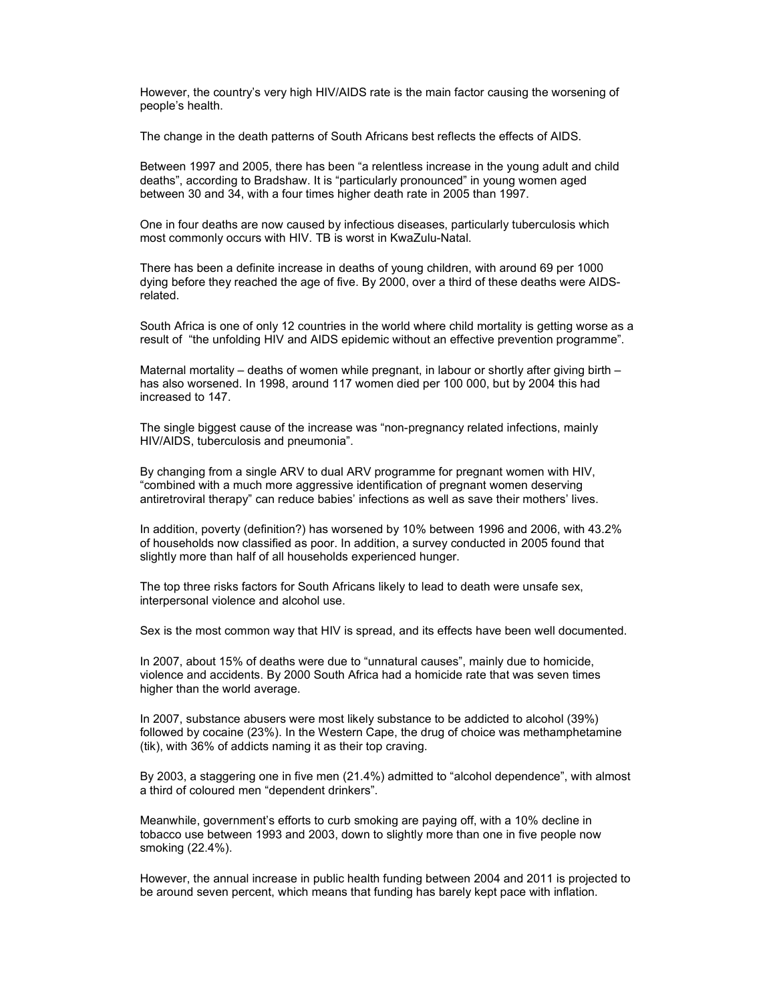However, the country's very high HIV/AIDS rate is the main factor causing the worsening of people's health.

The change in the death patterns of South Africans best reflects the effects of AIDS.

Between 1997 and 2005, there has been "a relentless increase in the young adult and child deaths", according to Bradshaw. It is "particularly pronounced" in young women aged between 30 and 34, with a four times higher death rate in 2005 than 1997.

One in four deaths are now caused by infectious diseases, particularly tuberculosis which most commonly occurs with HIV. TB is worst in KwaZulu-Natal.

There has been a definite increase in deaths of young children, with around 69 per 1000 dying before they reached the age of five. By 2000, over a third of these deaths were AIDSrelated.

South Africa is one of only 12 countries in the world where child mortality is getting worse as a result of "the unfolding HIV and AIDS epidemic without an effective prevention programme".

Maternal mortality – deaths of women while pregnant, in labour or shortly after giving birth – has also worsened. In 1998, around 117 women died per 100 000, but by 2004 this had increased to 147.

The single biggest cause of the increase was "non-pregnancy related infections, mainly HIV/AIDS, tuberculosis and pneumonia".

By changing from a single ARV to dual ARV programme for pregnant women with HIV, "combined with a much more aggressive identification of pregnant women deserving antiretroviral therapy" can reduce babies' infections as well as save their mothers' lives.

In addition, poverty (definition?) has worsened by 10% between 1996 and 2006, with 43.2% of households now classified as poor. In addition, a survey conducted in 2005 found that slightly more than half of all households experienced hunger.

The top three risks factors for South Africans likely to lead to death were unsafe sex, interpersonal violence and alcohol use.

Sex is the most common way that HIV is spread, and its effects have been well documented.

In 2007, about 15% of deaths were due to "unnatural causes", mainly due to homicide, violence and accidents. By 2000 South Africa had a homicide rate that was seven times higher than the world average.

In 2007, substance abusers were most likely substance to be addicted to alcohol (39%) followed by cocaine (23%). In the Western Cape, the drug of choice was methamphetamine (tik), with 36% of addicts naming it as their top craving.

By 2003, a staggering one in five men (21.4%) admitted to "alcohol dependence", with almost a third of coloured men "dependent drinkers".

Meanwhile, government's efforts to curb smoking are paying off, with a 10% decline in tobacco use between 1993 and 2003, down to slightly more than one in five people now smoking (22.4%).

However, the annual increase in public health funding between 2004 and 2011 is projected to be around seven percent, which means that funding has barely kept pace with inflation.